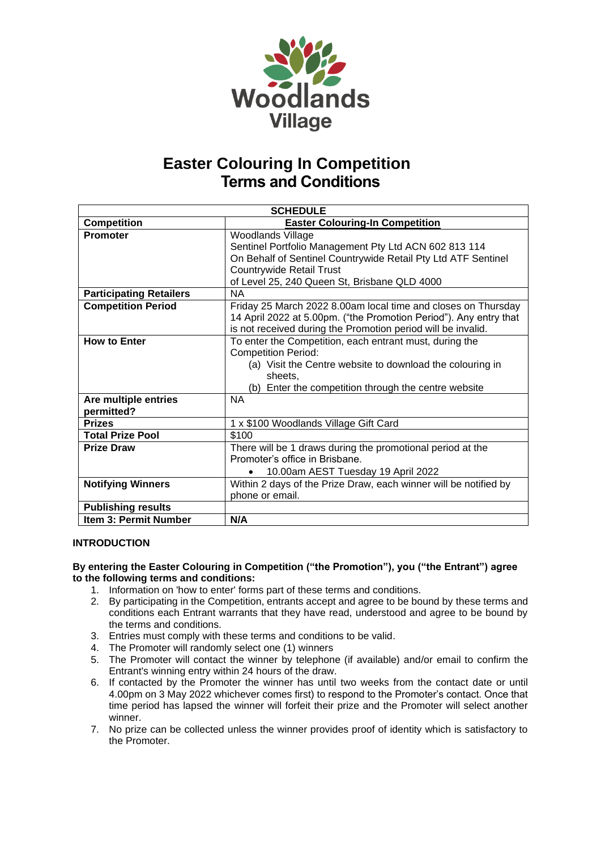

| <b>SCHEDULE</b>                    |                                                                                                                                                                                                                                       |
|------------------------------------|---------------------------------------------------------------------------------------------------------------------------------------------------------------------------------------------------------------------------------------|
| <b>Competition</b>                 | <b>Easter Colouring-In Competition</b>                                                                                                                                                                                                |
| <b>Promoter</b>                    | <b>Woodlands Village</b><br>Sentinel Portfolio Management Pty Ltd ACN 602 813 114<br>On Behalf of Sentinel Countrywide Retail Pty Ltd ATF Sentinel<br><b>Countrywide Retail Trust</b><br>of Level 25, 240 Queen St, Brisbane QLD 4000 |
| <b>Participating Retailers</b>     | <b>NA</b>                                                                                                                                                                                                                             |
| <b>Competition Period</b>          | Friday 25 March 2022 8.00am local time and closes on Thursday<br>14 April 2022 at 5.00pm. ("the Promotion Period"). Any entry that<br>is not received during the Promotion period will be invalid.                                    |
| <b>How to Enter</b>                | To enter the Competition, each entrant must, during the<br><b>Competition Period:</b><br>(a) Visit the Centre website to download the colouring in<br>sheets,<br>(b) Enter the competition through the centre website                 |
| Are multiple entries<br>permitted? | <b>NA</b>                                                                                                                                                                                                                             |
| <b>Prizes</b>                      | 1 x \$100 Woodlands Village Gift Card                                                                                                                                                                                                 |
| <b>Total Prize Pool</b>            | \$100                                                                                                                                                                                                                                 |
| <b>Prize Draw</b>                  | There will be 1 draws during the promotional period at the<br>Promoter's office in Brisbane.<br>10.00am AEST Tuesday 19 April 2022                                                                                                    |
| <b>Notifying Winners</b>           | Within 2 days of the Prize Draw, each winner will be notified by<br>phone or email.                                                                                                                                                   |
| <b>Publishing results</b>          |                                                                                                                                                                                                                                       |
| Item 3: Permit Number              | N/A                                                                                                                                                                                                                                   |

### **INTRODUCTION**

### **By entering the Easter Colouring in Competition ("the Promotion"), you ("the Entrant") agree to the following terms and conditions:**

- 1. Information on 'how to enter' forms part of these terms and conditions.
- 2. By participating in the Competition, entrants accept and agree to be bound by these terms and conditions each Entrant warrants that they have read, understood and agree to be bound by the terms and conditions.
- 3. Entries must comply with these terms and conditions to be valid.
- 4. The Promoter will randomly select one (1) winners
- 5. The Promoter will contact the winner by telephone (if available) and/or email to confirm the Entrant's winning entry within 24 hours of the draw.
- 6. If contacted by the Promoter the winner has until two weeks from the contact date or until 4.00pm on 3 May 2022 whichever comes first) to respond to the Promoter's contact. Once that time period has lapsed the winner will forfeit their prize and the Promoter will select another winner.
- 7. No prize can be collected unless the winner provides proof of identity which is satisfactory to the Promoter.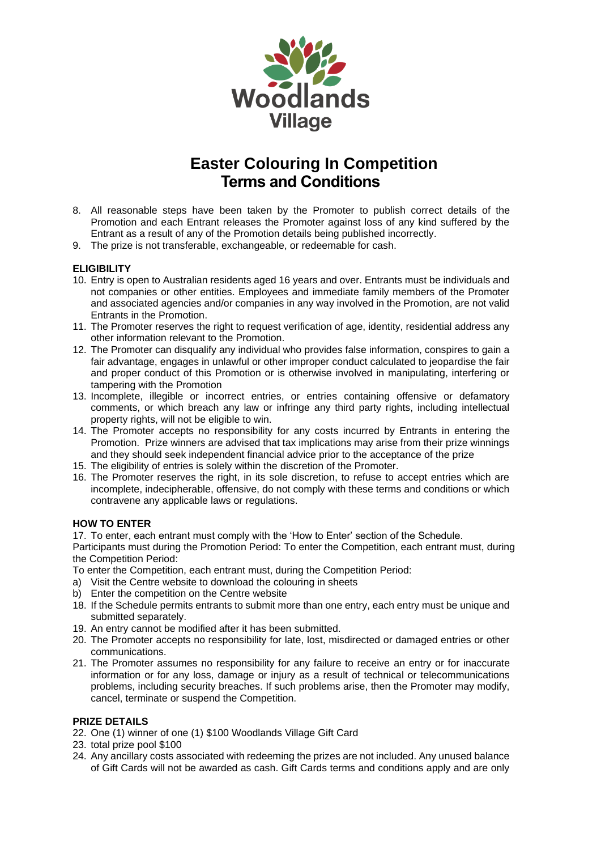

- 8. All reasonable steps have been taken by the Promoter to publish correct details of the Promotion and each Entrant releases the Promoter against loss of any kind suffered by the Entrant as a result of any of the Promotion details being published incorrectly.
- 9. The prize is not transferable, exchangeable, or redeemable for cash.

### **ELIGIBILITY**

- 10. Entry is open to Australian residents aged 16 years and over. Entrants must be individuals and not companies or other entities. Employees and immediate family members of the Promoter and associated agencies and/or companies in any way involved in the Promotion, are not valid Entrants in the Promotion.
- 11. The Promoter reserves the right to request verification of age, identity, residential address any other information relevant to the Promotion.
- 12. The Promoter can disqualify any individual who provides false information, conspires to gain a fair advantage, engages in unlawful or other improper conduct calculated to jeopardise the fair and proper conduct of this Promotion or is otherwise involved in manipulating, interfering or tampering with the Promotion
- 13. Incomplete, illegible or incorrect entries, or entries containing offensive or defamatory comments, or which breach any law or infringe any third party rights, including intellectual property rights, will not be eligible to win.
- 14. The Promoter accepts no responsibility for any costs incurred by Entrants in entering the Promotion. Prize winners are advised that tax implications may arise from their prize winnings and they should seek independent financial advice prior to the acceptance of the prize
- 15. The eligibility of entries is solely within the discretion of the Promoter.
- 16. The Promoter reserves the right, in its sole discretion, to refuse to accept entries which are incomplete, indecipherable, offensive, do not comply with these terms and conditions or which contravene any applicable laws or regulations.

### **HOW TO ENTER**

17. To enter, each entrant must comply with the 'How to Enter' section of the Schedule.

Participants must during the Promotion Period: To enter the Competition, each entrant must, during the Competition Period:

To enter the Competition, each entrant must, during the Competition Period:

- a) Visit the Centre website to download the colouring in sheets
- b) Enter the competition on the Centre website
- 18. If the Schedule permits entrants to submit more than one entry, each entry must be unique and submitted separately.
- 19. An entry cannot be modified after it has been submitted.
- 20. The Promoter accepts no responsibility for late, lost, misdirected or damaged entries or other communications.
- 21. The Promoter assumes no responsibility for any failure to receive an entry or for inaccurate information or for any loss, damage or injury as a result of technical or telecommunications problems, including security breaches. If such problems arise, then the Promoter may modify, cancel, terminate or suspend the Competition.

### **PRIZE DETAILS**

- 22. One (1) winner of one (1) \$100 Woodlands Village Gift Card
- 23. total prize pool \$100
- 24. Any ancillary costs associated with redeeming the prizes are not included. Any unused balance of Gift Cards will not be awarded as cash. Gift Cards terms and conditions apply and are only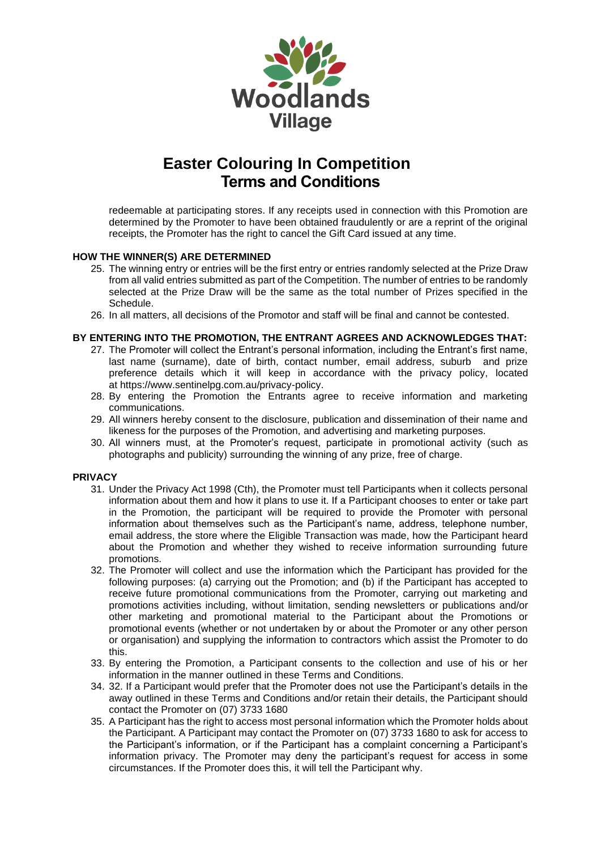

redeemable at participating stores. If any receipts used in connection with this Promotion are determined by the Promoter to have been obtained fraudulently or are a reprint of the original receipts, the Promoter has the right to cancel the Gift Card issued at any time.

### **HOW THE WINNER(S) ARE DETERMINED**

- 25. The winning entry or entries will be the first entry or entries randomly selected at the Prize Draw from all valid entries submitted as part of the Competition. The number of entries to be randomly selected at the Prize Draw will be the same as the total number of Prizes specified in the Schedule.
- 26. In all matters, all decisions of the Promotor and staff will be final and cannot be contested.

### **BY ENTERING INTO THE PROMOTION, THE ENTRANT AGREES AND ACKNOWLEDGES THAT:**

- 27. The Promoter will collect the Entrant's personal information, including the Entrant's first name, last name (surname), date of birth, contact number, email address, suburb and prize preference details which it will keep in accordance with the privacy policy, located at [https://www.sentinelpg.com.au/privacy-policy.](https://www.sentinelpg.com.au/privacy-policy)
- 28. By entering the Promotion the Entrants agree to receive information and marketing communications.
- 29. All winners hereby consent to the disclosure, publication and dissemination of their name and likeness for the purposes of the Promotion, and advertising and marketing purposes.
- 30. All winners must, at the Promoter's request, participate in promotional activity (such as photographs and publicity) surrounding the winning of any prize, free of charge.

#### **PRIVACY**

- 31. Under the Privacy Act 1998 (Cth), the Promoter must tell Participants when it collects personal information about them and how it plans to use it. If a Participant chooses to enter or take part in the Promotion, the participant will be required to provide the Promoter with personal information about themselves such as the Participant's name, address, telephone number, email address, the store where the Eligible Transaction was made, how the Participant heard about the Promotion and whether they wished to receive information surrounding future promotions.
- 32. The Promoter will collect and use the information which the Participant has provided for the following purposes: (a) carrying out the Promotion; and (b) if the Participant has accepted to receive future promotional communications from the Promoter, carrying out marketing and promotions activities including, without limitation, sending newsletters or publications and/or other marketing and promotional material to the Participant about the Promotions or promotional events (whether or not undertaken by or about the Promoter or any other person or organisation) and supplying the information to contractors which assist the Promoter to do this.
- 33. By entering the Promotion, a Participant consents to the collection and use of his or her information in the manner outlined in these Terms and Conditions.
- 34. 32. If a Participant would prefer that the Promoter does not use the Participant's details in the away outlined in these Terms and Conditions and/or retain their details, the Participant should contact the Promoter on (07) 3733 1680
- 35. A Participant has the right to access most personal information which the Promoter holds about the Participant. A Participant may contact the Promoter on (07) 3733 1680 to ask for access to the Participant's information, or if the Participant has a complaint concerning a Participant's information privacy. The Promoter may deny the participant's request for access in some circumstances. If the Promoter does this, it will tell the Participant why.